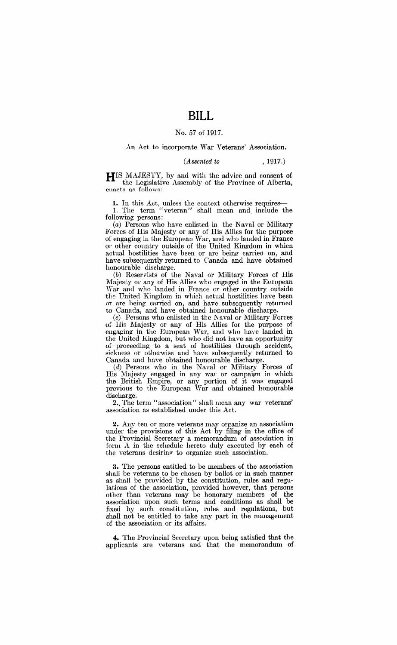# **BILL**

#### No. 57 of 1917.

#### An Act to incorporate War Veterans' Association.

#### *(Assented to* , 1917.)

HIS MAJESTY, by and with the advice and consent of the Legislative Assembly of the Province of Alberta, enacts as follows:

1. In this Act, unless the context otherwise requires-- I. The term "veteran" shall mean and include the following persons:

(a) Persons who have enlisted in the Naval or Military Forces of His Majesty or any of His Allies for the purpose of engaging in the European War, and who landed in France or other country outside of the United Kingdom in whicn actual hostilities have been or arc being carried on, and have subsequently returned to Canada and have obtained honourable discharge.

(b) Reservists of the Naval or Military Forces of His Majesty or any of His Allies who engaged in the European 'Var and who landed in France or other country outside the United Kingdom in which actual hostilities have been or are being carried on, and have subsequently returned to Canada, and have obtained honourable discharge.

 $(c)$  Persons who enlisted in the Naval or Military Forces of His Majesty or any of His Allies for the purpose of engaging in the European War, and who have landed in the United Kingdom, but who did not have an opportunity of proceeding to a seat of hostilities through accident, sickness or otherwise and have subsequently returned to Canada and have obtained honourable discharge.

 $(d)$  Persons who in the Naval or Military Forces of His Majesty engaged in any war or campaign in which the British Empire, or any portion of it was engaged previous to the European War and obtained honourable

discharge.<br>2., The term "association" shall mean any war veterans' association as established under this Act.

2. Any ten or more veterans may organize an association under the provisions of this Act by filing in the office of the Provincial Secretary a memorandum of association in form A in the schedule hereto duly executed by each of the veterans desiring to organize such association.

3. The persons entitled to be members of the association shall be veterans to be chosen by ballot or in such manner as shall be provided by the constitution, rules and regulations of the association, provided however, that persons other than veterans may be honorary members of the association upon such terms and conditions as shall be fixed by such constitution, rules and regulations, but shall not be entitled to take any part in the management of the association or its affairs.

4. The Provincial Secretary upon being satisfied that the applicants are veterans and that the memorandum of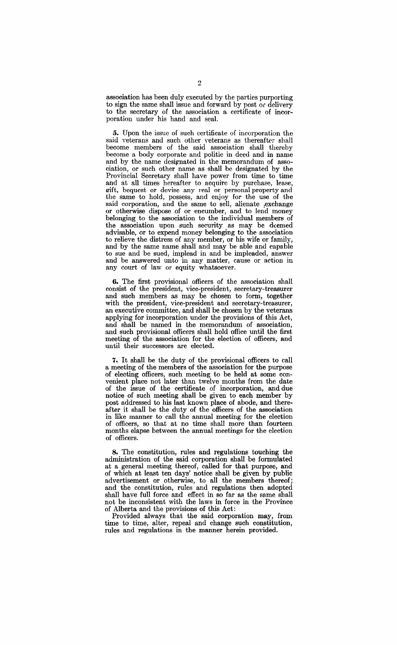association has been duly executed by the parties purporting to sign the same shall issue and forward by post or delivery to the secretary of the association a certificate of incorporation under his hand and seal.

5. Upon the issue of such certificate of incorporation the said veterans and such other veterans as thereafter shall become members of the said association shall thereby become a body corporate and politic in deed and in name and by the name designated in the memorandum of association, or such other name as shall be designated by the Provincial Secretary shall have power from time to time and at all times hereafter to acquire by purchase, lease, gift, bequest or devise any real or personal property and the same to hold, possess, and enjoy for the use of the said corporation, and the same to sell, alienate exchange or otherwise dispose of or encumber, and to lend money belonging to the association to the individual members of the association upon such security as may be deemed advisable, or to expend money belonging to the association to relieve the distress of any member, or his wife or family, and by the same name shall and may be able and capable to sue and be sued, implead in and be impleaded, answer and be answered unto in any matter, cause or action in any court of law or equity whatsoever.

6. The first provisional officers of the association shall consist of the president, vice-president, secretary-treasurer and such members as may be chosen to form, together with the president, vice-president and secretary-treasurer, an executive committee, and shall be chosen by the veterans applying for incorporation under the provisions of this Act, and shall be named in the memorandum of association, and such provisional officers shall hold office until the first meeting of the association for the election of officers, and until their successors are elected.

7. It shall be the duty of the provisional officers to call a meeting of the members of the association for the purpose of electing officers, such meeting to be held at some convenient place not later than twelve months from the date of the issue of the certificate of incorporation, and due notice of such meeting shall be given to each member by post addressed to his last known place of abode, and thereafter it shall be the duty of the officers of the association in like manner to call the annual meeting for the election of officers, so that at no time shall more than fourteen months elapse between the annual meetings for the election of officers.

8. The constitution, rules and regulations touching the administration of the said corporation shall be formulated at a general meeting thereof, called for that purpose, and of which at least ten days' notice shall be given by public advertisement or otherwise, to all the members thereof; and the constitution, rules and regulations then adopted shall have full force and effect in so far as the same shall not be inconsistent with the laws in force in the Province of Alberta and the provisions of this Act:

Provided always that the said corporation may, from time to time, alter, repeal and change such constitution, rules and regulations in the manner herein provided.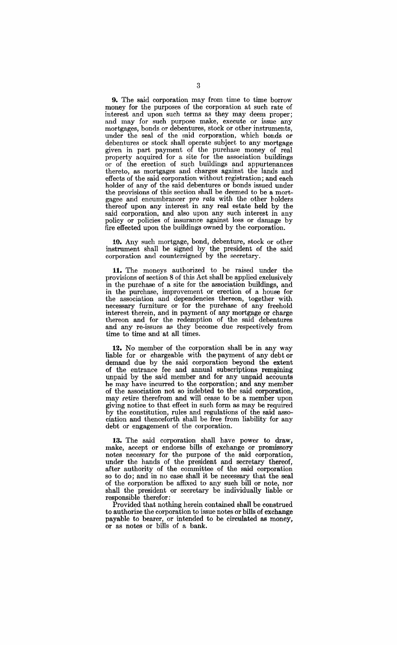**9.** The said corporation may from time to time borrow money for the purposes of the corporation at such rate of interest and upon such terms as they may deem proper; and may for such purpose make, execute or issue any mortgages, bonds or debentures, stock or other instruments, under the seal of the said corporation, which bonds or debentures or stock shall operate subject to any mortgage given in part payment of the purchase money of real property acquired for a site for the association buildings or of .the erection of such buildings and appurtenances thereto, as mortgages and charges against the lands and effects of the said corporation without registration; and each holder of any of the said debentures or bonds issued under the provisions of this section shall be deemed to be a mortgagee and encumbrancer pro rata with the other holders thereof upon any interest in any real estate held by the said corporation, and also upon any such interest in any policy or policies of insurance against loss or damage by fire effected upon the buildings owned by the corporation.

10. Any such mortgage, bond, debenture, stock or other instrument shall be signed by the president of the said corporation and countersigned by the secretary.

**11.** The moneys authorized to be raised under the provisions of section 8 of this Act shall be applied exclusively in the purchase of a site for the association buildings, and in the purchase, improvement or erection of a house for the association and dependencies thereon, together with necessary furniture or for the purchase of any freehold interest therein, and in payment of any mortgage or charge thereon and for the redemption of the said debentures and any re-issues as they become due respectively from time to time and at all times.

**12.** No member of the corporation shall be in any way liable for or chargeable with the payment of any debt or demand due by the said corporation beyond the extent of the entrance fee and annual subscriptions remaining unpaid by the said member and for any unpaid accounts he may have incurred to the corporation; and any member of the association not so indebted to the said corporation, may retire therefrom and will cease to be a member upon giving notice to that effect in such form as may be required by the constitution, rules and regulations of the said association and thenceforth shall be free from liability for any debt or engagement of the corporation.

**13.** The said corporation shall have power to draw, make, accept or endorse bills of exchange or promissory notes necessary for the purpose of the said corporation, under the hands of the president and secretary thereof, after authority of the committee of the said corporation so to do; and in no case shall it be necessary that the seal of the corporation be affixed to any such bill or note, nor shall the president or secretary be individually liable or responsible therefor:

Provided that nothing herein contained shall be construed to authorize the corporation to issue notes or bills of exchange payable to bearer, or intended to be circulated as money, or as notes or bills of a bank.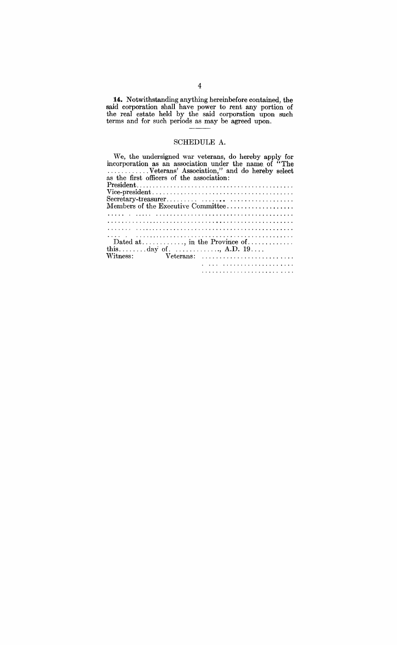14. Notwithstanding anything hereinbefore contained, the said corporation shall have power to rent any portion of the real estate held by the said corporation upon such terms and for such periods as may be agreed upon.

#### **SCHEDULE A.**

as the first officers of the association: